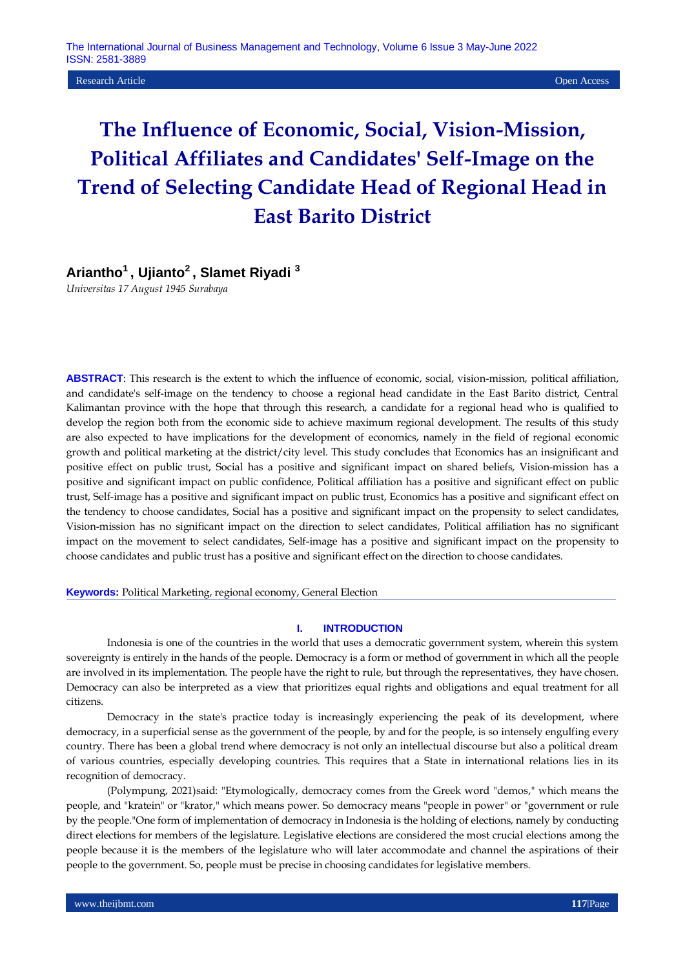Research Article Open Access

# **The Influence of Economic, Social, Vision-Mission, Political Affiliates and Candidates' Self-Image on the Trend of Selecting Candidate Head of Regional Head in East Barito District**

# **Ariantho<sup>1</sup>, Ujianto<sup>2</sup>, Slamet Riyadi <sup>3</sup>**

*Universitas 17 August 1945 Surabaya*

**ABSTRACT**: This research is the extent to which the influence of economic, social, vision-mission, political affiliation, and candidate's self-image on the tendency to choose a regional head candidate in the East Barito district, Central Kalimantan province with the hope that through this research, a candidate for a regional head who is qualified to develop the region both from the economic side to achieve maximum regional development. The results of this study are also expected to have implications for the development of economics, namely in the field of regional economic growth and political marketing at the district/city level. This study concludes that Economics has an insignificant and positive effect on public trust, Social has a positive and significant impact on shared beliefs, Vision-mission has a positive and significant impact on public confidence, Political affiliation has a positive and significant effect on public trust, Self-image has a positive and significant impact on public trust, Economics has a positive and significant effect on the tendency to choose candidates, Social has a positive and significant impact on the propensity to select candidates, Vision-mission has no significant impact on the direction to select candidates, Political affiliation has no significant impact on the movement to select candidates, Self-image has a positive and significant impact on the propensity to choose candidates and public trust has a positive and significant effect on the direction to choose candidates.

#### **Keywords:** Political Marketing, regional economy, General Election

#### **I. INTRODUCTION**

Indonesia is one of the countries in the world that uses a democratic government system, wherein this system sovereignty is entirely in the hands of the people. Democracy is a form or method of government in which all the people are involved in its implementation. The people have the right to rule, but through the representatives, they have chosen. Democracy can also be interpreted as a view that prioritizes equal rights and obligations and equal treatment for all citizens.

Democracy in the state's practice today is increasingly experiencing the peak of its development, where democracy, in a superficial sense as the government of the people, by and for the people, is so intensely engulfing every country. There has been a global trend where democracy is not only an intellectual discourse but also a political dream of various countries, especially developing countries. This requires that a State in international relations lies in its recognition of democracy.

(Polympung, 2021)said: "Etymologically, democracy comes from the Greek word "demos," which means the people, and "kratein" or "krator," which means power. So democracy means "people in power" or "government or rule by the people."One form of implementation of democracy in Indonesia is the holding of elections, namely by conducting direct elections for members of the legislature. Legislative elections are considered the most crucial elections among the people because it is the members of the legislature who will later accommodate and channel the aspirations of their people to the government. So, people must be precise in choosing candidates for legislative members.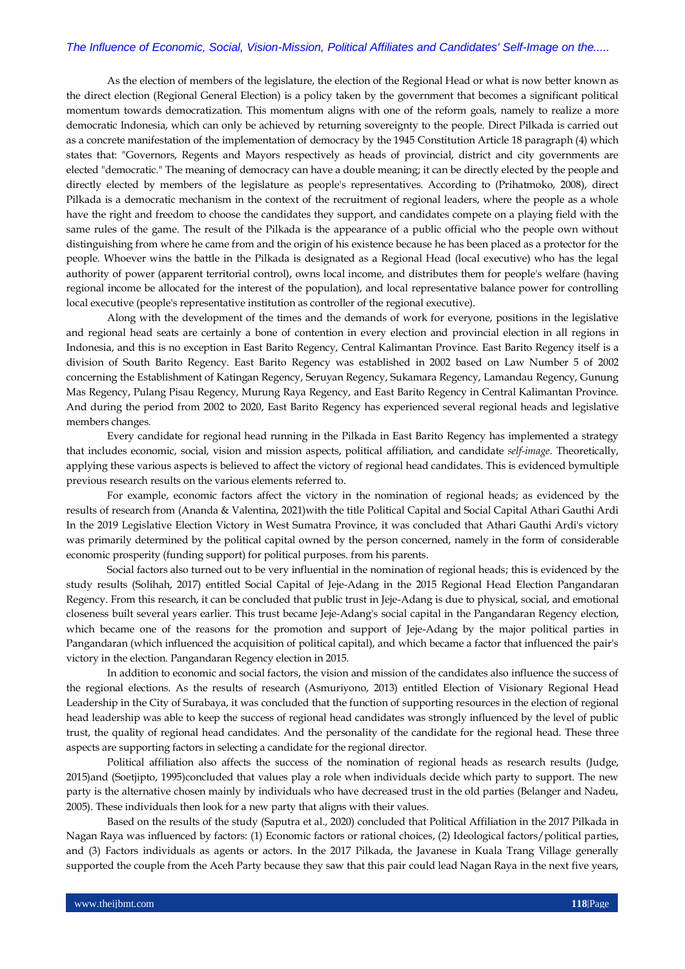As the election of members of the legislature, the election of the Regional Head or what is now better known as the direct election (Regional General Election) is a policy taken by the government that becomes a significant political momentum towards democratization. This momentum aligns with one of the reform goals, namely to realize a more democratic Indonesia, which can only be achieved by returning sovereignty to the people. Direct Pilkada is carried out as a concrete manifestation of the implementation of democracy by the 1945 Constitution Article 18 paragraph (4) which states that: "Governors, Regents and Mayors respectively as heads of provincial, district and city governments are elected "democratic." The meaning of democracy can have a double meaning; it can be directly elected by the people and directly elected by members of the legislature as people's representatives. According to (Prihatmoko, 2008), direct Pilkada is a democratic mechanism in the context of the recruitment of regional leaders, where the people as a whole have the right and freedom to choose the candidates they support, and candidates compete on a playing field with the same rules of the game. The result of the Pilkada is the appearance of a public official who the people own without distinguishing from where he came from and the origin of his existence because he has been placed as a protector for the people. Whoever wins the battle in the Pilkada is designated as a Regional Head (local executive) who has the legal authority of power (apparent territorial control), owns local income, and distributes them for people's welfare (having regional income be allocated for the interest of the population), and local representative balance power for controlling local executive (people's representative institution as controller of the regional executive).

Along with the development of the times and the demands of work for everyone, positions in the legislative and regional head seats are certainly a bone of contention in every election and provincial election in all regions in Indonesia, and this is no exception in East Barito Regency, Central Kalimantan Province. East Barito Regency itself is a division of South Barito Regency. East Barito Regency was established in 2002 based on Law Number 5 of 2002 concerning the Establishment of Katingan Regency, Seruyan Regency, Sukamara Regency, Lamandau Regency, Gunung Mas Regency, Pulang Pisau Regency, Murung Raya Regency, and East Barito Regency in Central Kalimantan Province. And during the period from 2002 to 2020, East Barito Regency has experienced several regional heads and legislative members changes.

Every candidate for regional head running in the Pilkada in East Barito Regency has implemented a strategy that includes economic, social, vision and mission aspects, political affiliation, and candidate *self-image*. Theoretically, applying these various aspects is believed to affect the victory of regional head candidates. This is evidenced bymultiple previous research results on the various elements referred to.

For example, economic factors affect the victory in the nomination of regional heads; as evidenced by the results of research from (Ananda & Valentina, 2021)with the title Political Capital and Social Capital Athari Gauthi Ardi In the 2019 Legislative Election Victory in West Sumatra Province, it was concluded that Athari Gauthi Ardi's victory was primarily determined by the political capital owned by the person concerned, namely in the form of considerable economic prosperity (funding support) for political purposes. from his parents.

Social factors also turned out to be very influential in the nomination of regional heads; this is evidenced by the study results (Solihah, 2017) entitled Social Capital of Jeje-Adang in the 2015 Regional Head Election Pangandaran Regency. From this research, it can be concluded that public trust in Jeje-Adang is due to physical, social, and emotional closeness built several years earlier. This trust became Jeje-Adang's social capital in the Pangandaran Regency election, which became one of the reasons for the promotion and support of Jeje-Adang by the major political parties in Pangandaran (which influenced the acquisition of political capital), and which became a factor that influenced the pair's victory in the election. Pangandaran Regency election in 2015.

In addition to economic and social factors, the vision and mission of the candidates also influence the success of the regional elections. As the results of research (Asmuriyono, 2013) entitled Election of Visionary Regional Head Leadership in the City of Surabaya, it was concluded that the function of supporting resources in the election of regional head leadership was able to keep the success of regional head candidates was strongly influenced by the level of public trust, the quality of regional head candidates. And the personality of the candidate for the regional head. These three aspects are supporting factors in selecting a candidate for the regional director.

Political affiliation also affects the success of the nomination of regional heads as research results (Judge, 2015)and (Soetjipto, 1995)concluded that values play a role when individuals decide which party to support. The new party is the alternative chosen mainly by individuals who have decreased trust in the old parties (Belanger and Nadeu, 2005). These individuals then look for a new party that aligns with their values.

Based on the results of the study (Saputra et al., 2020) concluded that Political Affiliation in the 2017 Pilkada in Nagan Raya was influenced by factors: (1) Economic factors or rational choices, (2) Ideological factors/political parties, and (3) Factors individuals as agents or actors. In the 2017 Pilkada, the Javanese in Kuala Trang Village generally supported the couple from the Aceh Party because they saw that this pair could lead Nagan Raya in the next five years,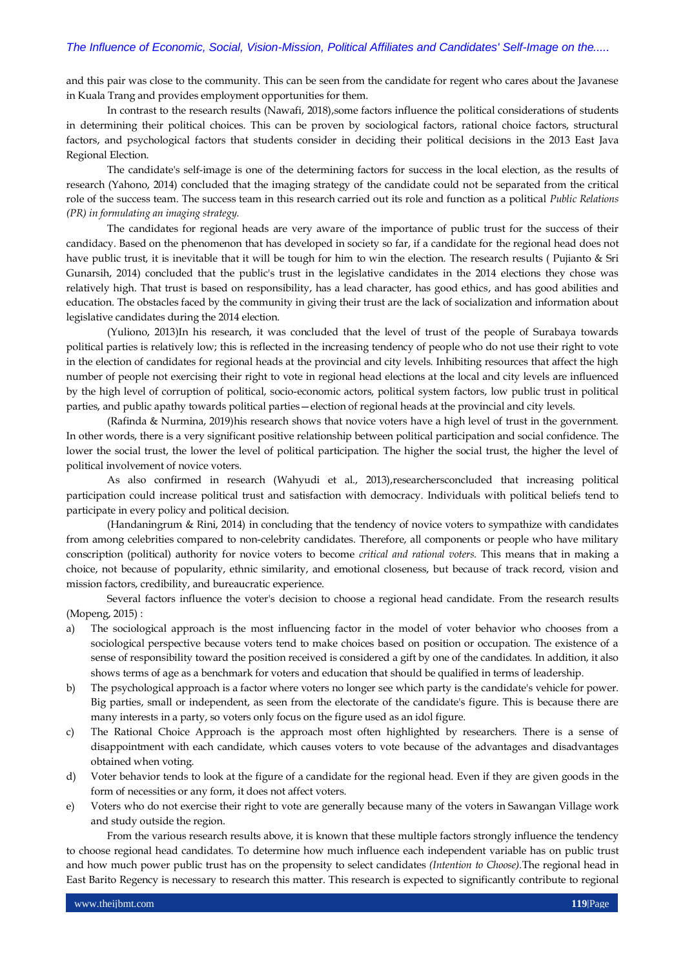and this pair was close to the community. This can be seen from the candidate for regent who cares about the Javanese in Kuala Trang and provides employment opportunities for them.

In contrast to the research results (Nawafi, 2018), some factors influence the political considerations of students in determining their political choices. This can be proven by sociological factors, rational choice factors, structural factors, and psychological factors that students consider in deciding their political decisions in the 2013 East Java Regional Election.

The candidate's self-image is one of the determining factors for success in the local election, as the results of research (Yahono, 2014) concluded that the imaging strategy of the candidate could not be separated from the critical role of the success team. The success team in this research carried out its role and function as a political *Public Relations (PR) in formulating an imaging strategy.*

The candidates for regional heads are very aware of the importance of public trust for the success of their candidacy. Based on the phenomenon that has developed in society so far, if a candidate for the regional head does not have public trust, it is inevitable that it will be tough for him to win the election. The research results ( Pujianto & Sri Gunarsih, 2014) concluded that the public's trust in the legislative candidates in the 2014 elections they chose was relatively high. That trust is based on responsibility, has a lead character, has good ethics, and has good abilities and education. The obstacles faced by the community in giving their trust are the lack of socialization and information about legislative candidates during the 2014 election.

(Yuliono, 2013)In his research, it was concluded that the level of trust of the people of Surabaya towards political parties is relatively low; this is reflected in the increasing tendency of people who do not use their right to vote in the election of candidates for regional heads at the provincial and city levels. Inhibiting resources that affect the high number of people not exercising their right to vote in regional head elections at the local and city levels are influenced by the high level of corruption of political, socio-economic actors, political system factors, low public trust in political parties, and public apathy towards political parties—election of regional heads at the provincial and city levels.

(Rafinda & Nurmina, 2019)his research shows that novice voters have a high level of trust in the government. In other words, there is a very significant positive relationship between political participation and social confidence. The lower the social trust, the lower the level of political participation. The higher the social trust, the higher the level of political involvement of novice voters.

As also confirmed in research (Wahyudi et al., 2013),researchersconcluded that increasing political participation could increase political trust and satisfaction with democracy. Individuals with political beliefs tend to participate in every policy and political decision.

(Handaningrum & Rini, 2014) in concluding that the tendency of novice voters to sympathize with candidates from among celebrities compared to non-celebrity candidates. Therefore, all components or people who have military conscription (political) authority for novice voters to become *critical and rational voters.* This means that in making a choice, not because of popularity, ethnic similarity, and emotional closeness, but because of track record, vision and mission factors, credibility, and bureaucratic experience.

Several factors influence the voter's decision to choose a regional head candidate. From the research results (Mopeng, 2015) :

- a) The sociological approach is the most influencing factor in the model of voter behavior who chooses from a sociological perspective because voters tend to make choices based on position or occupation. The existence of a sense of responsibility toward the position received is considered a gift by one of the candidates. In addition, it also shows terms of age as a benchmark for voters and education that should be qualified in terms of leadership.
- b) The psychological approach is a factor where voters no longer see which party is the candidate's vehicle for power. Big parties, small or independent, as seen from the electorate of the candidate's figure. This is because there are many interests in a party, so voters only focus on the figure used as an idol figure.
- c) The Rational Choice Approach is the approach most often highlighted by researchers. There is a sense of disappointment with each candidate, which causes voters to vote because of the advantages and disadvantages obtained when voting.
- d) Voter behavior tends to look at the figure of a candidate for the regional head. Even if they are given goods in the form of necessities or any form, it does not affect voters.
- e) Voters who do not exercise their right to vote are generally because many of the voters in Sawangan Village work and study outside the region.

From the various research results above, it is known that these multiple factors strongly influence the tendency to choose regional head candidates. To determine how much influence each independent variable has on public trust and how much power public trust has on the propensity to select candidates *(Intention to Choose).*The regional head in East Barito Regency is necessary to research this matter. This research is expected to significantly contribute to regional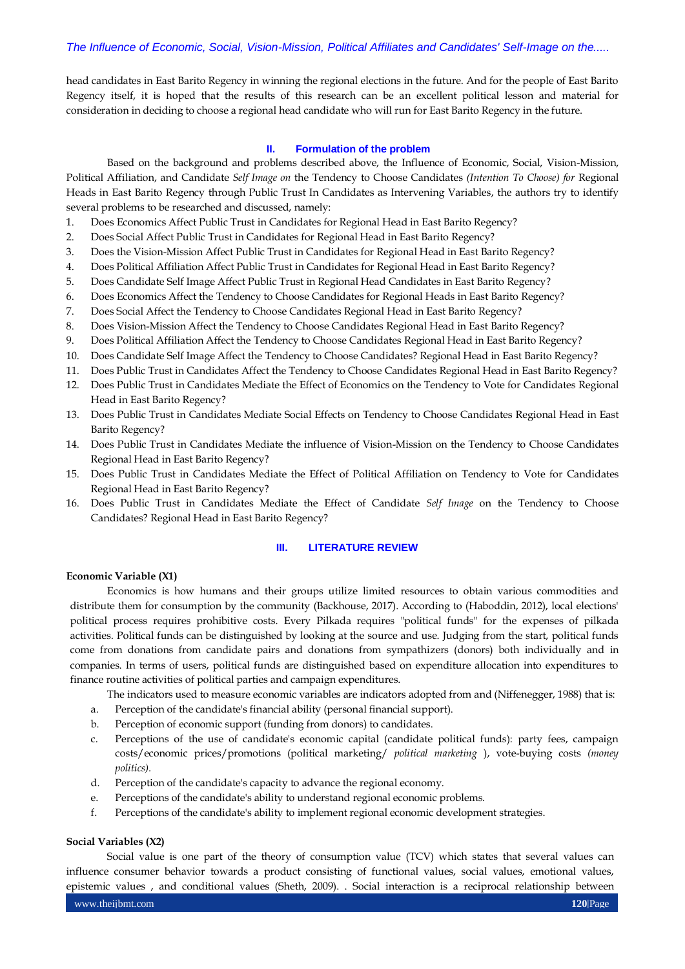head candidates in East Barito Regency in winning the regional elections in the future. And for the people of East Barito Regency itself, it is hoped that the results of this research can be an excellent political lesson and material for consideration in deciding to choose a regional head candidate who will run for East Barito Regency in the future.

## **II. Formulation of the problem**

Based on the background and problems described above, the Influence of Economic, Social, Vision-Mission, Political Affiliation, and Candidate *Self Image on* the Tendency to Choose Candidates *(Intention To Choose) for* Regional Heads in East Barito Regency through Public Trust In Candidates as Intervening Variables, the authors try to identify several problems to be researched and discussed, namely:

- 1. Does Economics Affect Public Trust in Candidates for Regional Head in East Barito Regency?
- 2. Does Social Affect Public Trust in Candidates for Regional Head in East Barito Regency?
- 3. Does the Vision-Mission Affect Public Trust in Candidates for Regional Head in East Barito Regency?
- 4. Does Political Affiliation Affect Public Trust in Candidates for Regional Head in East Barito Regency?
- 5. Does Candidate Self Image Affect Public Trust in Regional Head Candidates in East Barito Regency?
- 6. Does Economics Affect the Tendency to Choose Candidates for Regional Heads in East Barito Regency?
- 7. Does Social Affect the Tendency to Choose Candidates Regional Head in East Barito Regency?
- 8. Does Vision-Mission Affect the Tendency to Choose Candidates Regional Head in East Barito Regency?
- 9. Does Political Affiliation Affect the Tendency to Choose Candidates Regional Head in East Barito Regency?
- 10. Does Candidate Self Image Affect the Tendency to Choose Candidates? Regional Head in East Barito Regency?
- 11. Does Public Trust in Candidates Affect the Tendency to Choose Candidates Regional Head in East Barito Regency?
- 12. Does Public Trust in Candidates Mediate the Effect of Economics on the Tendency to Vote for Candidates Regional Head in East Barito Regency?
- 13. Does Public Trust in Candidates Mediate Social Effects on Tendency to Choose Candidates Regional Head in East Barito Regency?
- 14. Does Public Trust in Candidates Mediate the influence of Vision-Mission on the Tendency to Choose Candidates Regional Head in East Barito Regency?
- 15. Does Public Trust in Candidates Mediate the Effect of Political Affiliation on Tendency to Vote for Candidates Regional Head in East Barito Regency?
- 16. Does Public Trust in Candidates Mediate the Effect of Candidate *Self Image* on the Tendency to Choose Candidates? Regional Head in East Barito Regency?

#### **III. LITERATURE REVIEW**

#### **Economic Variable (X1)**

Economics is how humans and their groups utilize limited resources to obtain various commodities and distribute them for consumption by the community (Backhouse, 2017). According to (Haboddin, 2012), local elections' political process requires prohibitive costs. Every Pilkada requires "political funds" for the expenses of pilkada activities. Political funds can be distinguished by looking at the source and use. Judging from the start, political funds come from donations from candidate pairs and donations from sympathizers (donors) both individually and in companies. In terms of users, political funds are distinguished based on expenditure allocation into expenditures to finance routine activities of political parties and campaign expenditures.

The indicators used to measure economic variables are indicators adopted from and (Niffenegger, 1988) that is:

- a. Perception of the candidate's financial ability (personal financial support).
- b. Perception of economic support (funding from donors) to candidates.
- c. Perceptions of the use of candidate's economic capital (candidate political funds): party fees, campaign costs/economic prices/promotions (political marketing/ *political marketing* ), vote-buying costs *(money politics).*
- d. Perception of the candidate's capacity to advance the regional economy.
- e. Perceptions of the candidate's ability to understand regional economic problems.
- f. Perceptions of the candidate's ability to implement regional economic development strategies.

#### **Social Variables (X2)**

Social value is one part of the theory of consumption value (TCV) which states that several values can influence consumer behavior towards a product consisting of functional values, social values, emotional values, epistemic values , and conditional values (Sheth, 2009). . Social interaction is a reciprocal relationship between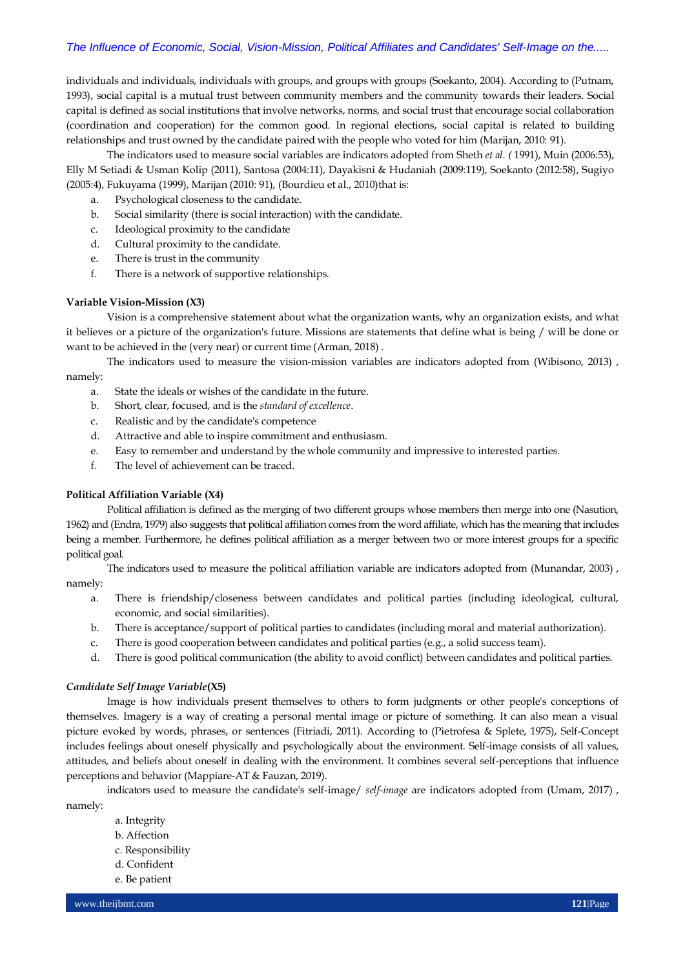individuals and individuals, individuals with groups, and groups with groups (Soekanto, 2004). According to (Putnam, 1993), social capital is a mutual trust between community members and the community towards their leaders. Social capital is defined as social institutions that involve networks, norms, and social trust that encourage social collaboration (coordination and cooperation) for the common good. In regional elections, social capital is related to building relationships and trust owned by the candidate paired with the people who voted for him (Marijan, 2010: 91).

The indicators used to measure social variables are indicators adopted from Sheth *et al. (* 1991), Muin (2006:53), Elly M Setiadi & Usman Kolip (2011), Santosa (2004:11), Dayakisni & Hudaniah (2009:119), Soekanto (2012:58), Sugiyo (2005:4), Fukuyama (1999), Marijan (2010: 91), (Bourdieu et al., 2010)that is:

- a. Psychological closeness to the candidate.
- b. Social similarity (there is social interaction) with the candidate.
- c. Ideological proximity to the candidate
- d. Cultural proximity to the candidate.
- e. There is trust in the community
- f. There is a network of supportive relationships.

#### **Variable Vision-Mission (X3)**

Vision is a comprehensive statement about what the organization wants, why an organization exists, and what it believes or a picture of the organization's future. Missions are statements that define what is being / will be done or want to be achieved in the (very near) or current time (Arman, 2018) .

The indicators used to measure the vision-mission variables are indicators adopted from (Wibisono, 2013) , namely:

- a. State the ideals or wishes of the candidate in the future.
- b. Short, clear, focused, and is the *standard of excellence*.
- c. Realistic and by the candidate's competence
- d. Attractive and able to inspire commitment and enthusiasm.
- e. Easy to remember and understand by the whole community and impressive to interested parties.
- f. The level of achievement can be traced.

#### **Political Affiliation Variable (X4)**

Political affiliation is defined as the merging of two different groups whose members then merge into one (Nasution, 1962) and (Endra, 1979) also suggests that political affiliation comes from the word affiliate, which has the meaning that includes being a member. Furthermore, he defines political affiliation as a merger between two or more interest groups for a specific political goal.

The indicators used to measure the political affiliation variable are indicators adopted from (Munandar, 2003) , namely:

- a. There is friendship/closeness between candidates and political parties (including ideological, cultural, economic, and social similarities).
- b. There is acceptance/support of political parties to candidates (including moral and material authorization).
- c. There is good cooperation between candidates and political parties (e.g., a solid success team).
- d. There is good political communication (the ability to avoid conflict) between candidates and political parties.

#### *Candidate Self Image Variable***(X5)**

Image is how individuals present themselves to others to form judgments or other people's conceptions of themselves. Imagery is a way of creating a personal mental image or picture of something. It can also mean a visual picture evoked by words, phrases, or sentences (Fitriadi, 2011). According to (Pietrofesa & Splete, 1975), Self-Concept includes feelings about oneself physically and psychologically about the environment. Self-image consists of all values, attitudes, and beliefs about oneself in dealing with the environment. It combines several self-perceptions that influence perceptions and behavior (Mappiare-AT & Fauzan, 2019).

indicators used to measure the candidate's self-image/ *self-image* are indicators adopted from (Umam, 2017) ,

- namely:
	- a. Integrity
	- b. Affection
	- c. Responsibility
	- d. Confident e. Be patient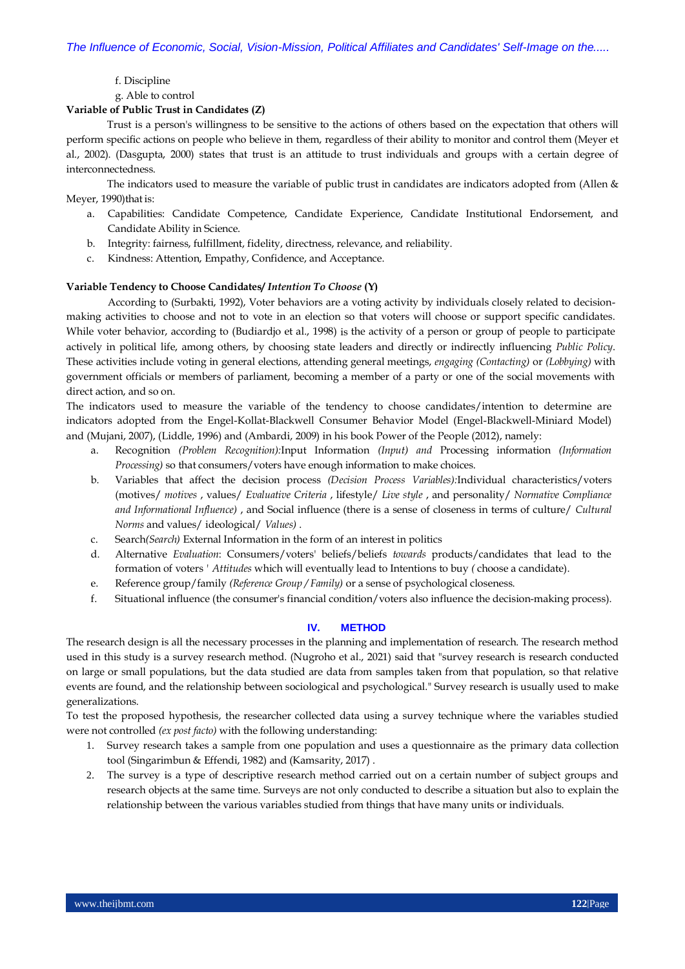f. Discipline

g. Able to control

#### **Variable of Public Trust in Candidates (Z)**

Trust is a person's willingness to be sensitive to the actions of others based on the expectation that others will perform specific actions on people who believe in them, regardless of their ability to monitor and control them (Meyer et al., 2002). (Dasgupta, 2000) states that trust is an attitude to trust individuals and groups with a certain degree of interconnectedness.

The indicators used to measure the variable of public trust in candidates are indicators adopted from (Allen & Meyer, 1990) that is:

- a. Capabilities: Candidate Competence, Candidate Experience, Candidate Institutional Endorsement, and Candidate Ability in Science.
- b. Integrity: fairness, fulfillment, fidelity, directness, relevance, and reliability.
- c. Kindness: Attention, Empathy, Confidence, and Acceptance.

#### **Variable Tendency to Choose Candidates/** *Intention To Choose* **(Y)**

According to (Surbakti, 1992), Voter behaviors are a voting activity by individuals closely related to decisionmaking activities to choose and not to vote in an election so that voters will choose or support specific candidates. While voter behavior, according to (Budiardjo et al., 1998) is the activity of a person or group of people to participate actively in political life, among others, by choosing state leaders and directly or indirectly influencing *Public Policy*. These activities include voting in general elections, attending general meetings, *engaging (Contacting)* or *(Lobbying)* with government officials or members of parliament, becoming a member of a party or one of the social movements with direct action, and so on.

The indicators used to measure the variable of the tendency to choose candidates/intention to determine are indicators adopted from the Engel-Kollat-Blackwell Consumer Behavior Model (Engel-Blackwell-Miniard Model) and (Mujani, 2007), (Liddle, 1996) and (Ambardi, 2009) in his book Power of the People (2012), namely:

- a. Recognition *(Problem Recognition):*Input Information *(Input) and* Processing information *(Information Processing)* so that consumers/voters have enough information to make choices.
- b. Variables that affect the decision process *(Decision Process Variables):*Individual characteristics/voters (motives/ *motives* , values/ *Evaluative Criteria* , lifestyle/ *Live style* , and personality/ *Normative Compliance and Informational Influence)* , and Social influence (there is a sense of closeness in terms of culture/ *Cultural Norms* and values/ ideological/ *Values)* .
- c. Search*(Search)* External Information in the form of an interest in politics
- d. Alternative *Evaluation*: Consumers/voters' beliefs/beliefs *towards* products/candidates that lead to the formation of voters *' Attitudes* which will eventually lead to Intentions to buy *(* choose a candidate).
- e. Reference group/family *(Reference Group / Family)* or a sense of psychological closeness.
- f. Situational influence (the consumer's financial condition/voters also influence the decision-making process).

#### **IV. METHOD**

The research design is all the necessary processes in the planning and implementation of research. The research method used in this study is a survey research method. (Nugroho et al., 2021) said that "survey research is research conducted on large or small populations, but the data studied are data from samples taken from that population, so that relative events are found, and the relationship between sociological and psychological." Survey research is usually used to make generalizations.

To test the proposed hypothesis, the researcher collected data using a survey technique where the variables studied were not controlled *(ex post facto)* with the following understanding:

- 1. Survey research takes a sample from one population and uses a questionnaire as the primary data collection tool (Singarimbun & Effendi, 1982) and (Kamsarity, 2017) .
- 2. The survey is a type of descriptive research method carried out on a certain number of subject groups and research objects at the same time. Surveys are not only conducted to describe a situation but also to explain the relationship between the various variables studied from things that have many units or individuals.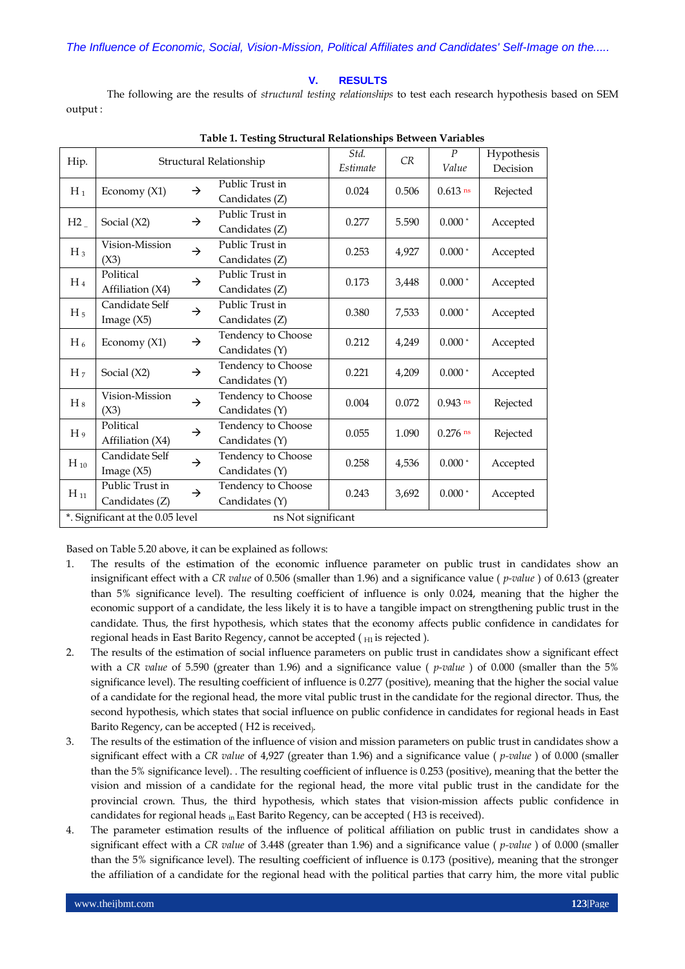#### **V. RESULTS**

The following are the results of *structural testing relationships* to test each research hypothesis based on SEM output :

| Hip.                             | Structural Relationship           |               |                                      | Std.<br>Estimate | CR    | $\boldsymbol{P}$<br>Value | Hypothesis<br>Decision |
|----------------------------------|-----------------------------------|---------------|--------------------------------------|------------------|-------|---------------------------|------------------------|
| $H_1$                            | Economy (X1)                      | $\rightarrow$ | Public Trust in<br>Candidates (Z)    | 0.024            | 0.506 | $0.613$ ns                | Rejected               |
| H2                               | Social $(X2)$                     | $\rightarrow$ | Public Trust in<br>Candidates (Z)    | 0.277            | 5.590 | $0.000*$                  | Accepted               |
| $H_3$                            | Vision-Mission<br>(X3)            | $\rightarrow$ | Public Trust in<br>Candidates (Z)    | 0.253            | 4,927 | $0.000*$                  | Accepted               |
| $H_4$                            | Political<br>Affiliation (X4)     | $\rightarrow$ | Public Trust in<br>Candidates (Z)    | 0.173            | 3,448 | $0.000*$                  | Accepted               |
| H <sub>5</sub>                   | Candidate Self<br>Image $(X5)$    | $\rightarrow$ | Public Trust in<br>Candidates (Z)    | 0.380            | 7,533 | $0.000*$                  | Accepted               |
| $H_6$                            | Economy (X1)                      | $\rightarrow$ | Tendency to Choose<br>Candidates (Y) | 0.212            | 4,249 | $0.000*$                  | Accepted               |
| H <sub>7</sub>                   | Social $(X2)$                     | $\rightarrow$ | Tendency to Choose<br>Candidates (Y) | 0.221            | 4,209 | $0.000*$                  | Accepted               |
| $H_8$                            | Vision-Mission<br>(X3)            | $\rightarrow$ | Tendency to Choose<br>Candidates (Y) | 0.004            | 0.072 | $0.943$ ns                | Rejected               |
| H <sub>9</sub>                   | Political<br>Affiliation (X4)     | $\rightarrow$ | Tendency to Choose<br>Candidates (Y) | 0.055            | 1.090 | $0.276$ ns                | Rejected               |
| $H_{10}$                         | Candidate Self<br>Image $(X5)$    | $\rightarrow$ | Tendency to Choose<br>Candidates (Y) | 0.258            | 4,536 | $0.000$ $^{\ast}$         | Accepted               |
| $H_{11}$                         | Public Trust in<br>Candidates (Z) | $\rightarrow$ | Tendency to Choose<br>Candidates (Y) | 0.243            | 3,692 | $0.000*$                  | Accepted               |
| *. Significant at the 0.05 level |                                   |               | ns Not significant                   |                  |       |                           |                        |

|  | Table 1. Testing Structural Relationships Between Variables |  |
|--|-------------------------------------------------------------|--|
|  |                                                             |  |

Based on Table 5.20 above, it can be explained as follows:

- 1. The results of the estimation of the economic influence parameter on public trust in candidates show an insignificant effect with a *CR value* of 0.506 (smaller than 1.96) and a significance value ( *p-value* ) of 0.613 (greater than 5% significance level). The resulting coefficient of influence is only 0.024, meaning that the higher the economic support of a candidate, the less likely it is to have a tangible impact on strengthening public trust in the candidate. Thus, the first hypothesis, which states that the economy affects public confidence in candidates for regional heads in East Barito Regency, cannot be accepted  $($   $_{H1}$  is rejected  $)$ .
- 2. The results of the estimation of social influence parameters on public trust in candidates show a significant effect with a *CR value* of 5.590 (greater than 1.96) and a significance value ( *p-value* ) of 0.000 (smaller than the 5% significance level). The resulting coefficient of influence is 0.277 (positive), meaning that the higher the social value of a candidate for the regional head, the more vital public trust in the candidate for the regional director. Thus, the second hypothesis, which states that social influence on public confidence in candidates for regional heads in East Barito Regency, can be accepted ( H2 is received).
- 3. The results of the estimation of the influence of vision and mission parameters on public trust in candidates show a significant effect with a *CR value* of 4,927 (greater than 1.96) and a significance value ( *p-value* ) of 0.000 (smaller than the 5% significance level). . The resulting coefficient of influence is 0.253 (positive), meaning that the better the vision and mission of a candidate for the regional head, the more vital public trust in the candidate for the provincial crown. Thus, the third hypothesis, which states that vision-mission affects public confidence in candidates for regional heads in East Barito Regency, can be accepted (H3 is received).
- 4. The parameter estimation results of the influence of political affiliation on public trust in candidates show a significant effect with a *CR value* of 3.448 (greater than 1.96) and a significance value ( *p-value* ) of 0.000 (smaller than the 5% significance level). The resulting coefficient of influence is 0.173 (positive), meaning that the stronger the affiliation of a candidate for the regional head with the political parties that carry him, the more vital public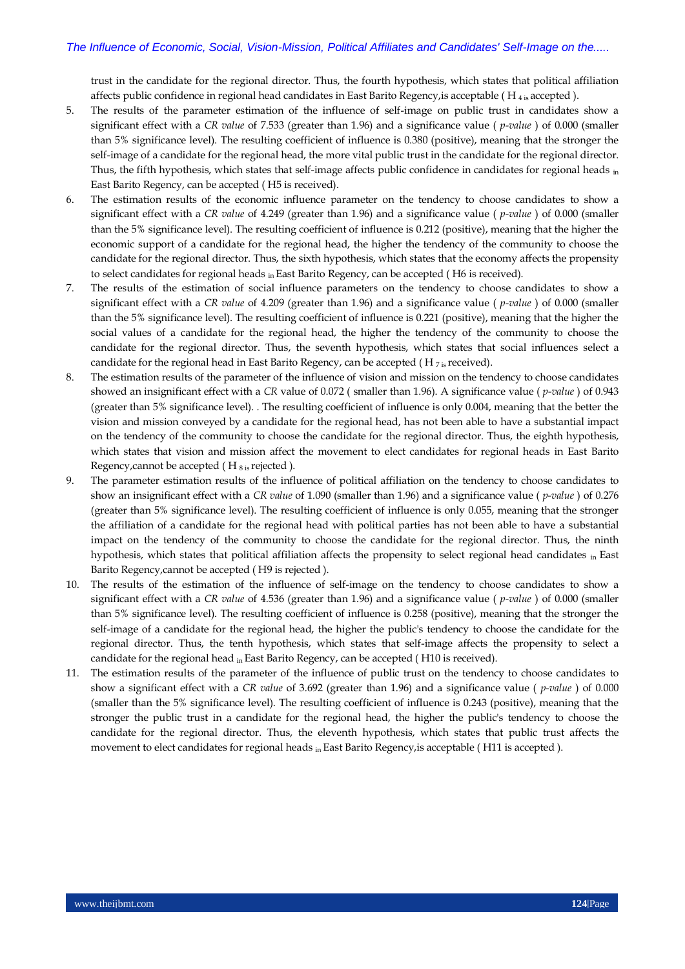trust in the candidate for the regional director. Thus, the fourth hypothesis, which states that political affiliation affects public confidence in regional head candidates in East Barito Regency, is acceptable ( $H_{4,i}$  accepted).

- 5. The results of the parameter estimation of the influence of self-image on public trust in candidates show a significant effect with a *CR value* of 7.533 (greater than 1.96) and a significance value ( *p-value* ) of 0.000 (smaller than 5% significance level). The resulting coefficient of influence is 0.380 (positive), meaning that the stronger the self-image of a candidate for the regional head, the more vital public trust in the candidate for the regional director. Thus, the fifth hypothesis, which states that self-image affects public confidence in candidates for regional heads in East Barito Regency, can be accepted ( H5 is received).
- 6. The estimation results of the economic influence parameter on the tendency to choose candidates to show a significant effect with a *CR value* of 4.249 (greater than 1.96) and a significance value ( *p-value* ) of 0.000 (smaller than the 5% significance level). The resulting coefficient of influence is 0.212 (positive), meaning that the higher the economic support of a candidate for the regional head, the higher the tendency of the community to choose the candidate for the regional director. Thus, the sixth hypothesis, which states that the economy affects the propensity to select candidates for regional heads  $_{\text{in}}$  East Barito Regency, can be accepted (H6 is received).
- 7. The results of the estimation of social influence parameters on the tendency to choose candidates to show a significant effect with a *CR value* of 4.209 (greater than 1.96) and a significance value ( *p-value* ) of 0.000 (smaller than the 5% significance level). The resulting coefficient of influence is 0.221 (positive), meaning that the higher the social values of a candidate for the regional head, the higher the tendency of the community to choose the candidate for the regional director. Thus, the seventh hypothesis, which states that social influences select a candidate for the regional head in East Barito Regency, can be accepted ( $H_{7is}$  received).
- 8. The estimation results of the parameter of the influence of vision and mission on the tendency to choose candidates showed an insignificant effect with a *CR* value of 0.072 ( smaller than 1.96). A significance value ( *p-value* ) of 0.943 (greater than 5% significance level). . The resulting coefficient of influence is only 0.004, meaning that the better the vision and mission conveyed by a candidate for the regional head, has not been able to have a substantial impact on the tendency of the community to choose the candidate for the regional director. Thus, the eighth hypothesis, which states that vision and mission affect the movement to elect candidates for regional heads in East Barito Regency, cannot be accepted  $(H_{8 \text{ is} }$  rejected  $).$
- 9. The parameter estimation results of the influence of political affiliation on the tendency to choose candidates to show an insignificant effect with a *CR value* of 1.090 (smaller than 1.96) and a significance value ( *p-value* ) of 0.276 (greater than 5% significance level). The resulting coefficient of influence is only 0.055, meaning that the stronger the affiliation of a candidate for the regional head with political parties has not been able to have a substantial impact on the tendency of the community to choose the candidate for the regional director. Thus, the ninth hypothesis, which states that political affiliation affects the propensity to select regional head candidates in East Barito Regency,cannot be accepted ( H9 is rejected ).
- 10. The results of the estimation of the influence of self-image on the tendency to choose candidates to show a significant effect with a *CR value* of 4.536 (greater than 1.96) and a significance value ( *p-value* ) of 0.000 (smaller than 5% significance level). The resulting coefficient of influence is 0.258 (positive), meaning that the stronger the self-image of a candidate for the regional head, the higher the public's tendency to choose the candidate for the regional director. Thus, the tenth hypothesis, which states that self-image affects the propensity to select a candidate for the regional head in East Barito Regency, can be accepted ( H10 is received).
- 11. The estimation results of the parameter of the influence of public trust on the tendency to choose candidates to show a significant effect with a *CR value* of 3.692 (greater than 1.96) and a significance value ( *p-value* ) of 0.000 (smaller than the 5% significance level). The resulting coefficient of influence is 0.243 (positive), meaning that the stronger the public trust in a candidate for the regional head, the higher the public's tendency to choose the candidate for the regional director. Thus, the eleventh hypothesis, which states that public trust affects the movement to elect candidates for regional heads in East Barito Regency, is acceptable (H11 is accepted).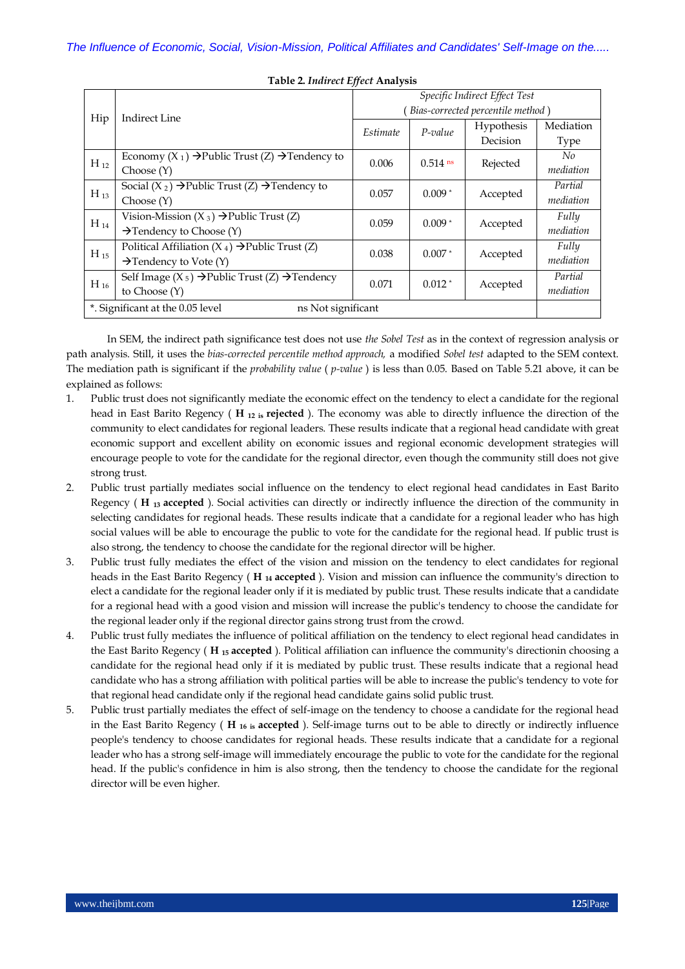| Hip                                                    | <b>Indirect Line</b>                                                   | Specific Indirect Effect Test     |            |            |             |  |
|--------------------------------------------------------|------------------------------------------------------------------------|-----------------------------------|------------|------------|-------------|--|
|                                                        |                                                                        | Bias-corrected percentile method) |            |            |             |  |
|                                                        |                                                                        | Estimate                          | $P$ -value | Hypothesis | Mediation   |  |
|                                                        |                                                                        |                                   |            | Decision   | <b>Type</b> |  |
| $H_{12}$                                               | Economy $(X_1) \rightarrow$ Public Trust $(Z) \rightarrow$ Tendency to | 0.006                             | $0.514$ ns | Rejected   | No          |  |
|                                                        | Choose(Y)                                                              |                                   |            |            | mediation   |  |
| $H_{13}$                                               | Social $(X_2) \rightarrow$ Public Trust $(Z) \rightarrow$ Tendency to  | 0.057                             | $0.009*$   | Accepted   | Partial     |  |
|                                                        | Choose(Y)                                                              |                                   |            |            | mediation   |  |
| $H_{14}$                                               | Vision-Mission $(X_3) \rightarrow$ Public Trust $(Z)$                  | 0.059                             | $0.009*$   | Accepted   | Fully       |  |
|                                                        | $\rightarrow$ Tendency to Choose (Y)                                   |                                   |            |            | mediation   |  |
| $H_{15}$                                               | Political Affiliation $(X_4) \rightarrow$ Public Trust (Z)             | 0.038                             | $0.007*$   | Accepted   | Fully       |  |
|                                                        | $\rightarrow$ Tendency to Vote (Y)                                     |                                   |            |            | mediation   |  |
| $H_{16}$                                               | Self Image ( $X_5$ ) → Public Trust (Z) → Tendency                     | 0.071                             | $0.012*$   | Accepted   | Partial     |  |
|                                                        | to Choose $(Y)$                                                        |                                   |            |            | mediation   |  |
| *. Significant at the 0.05 level<br>ns Not significant |                                                                        |                                   |            |            |             |  |
|                                                        |                                                                        |                                   |            |            |             |  |

#### **Table 2.** *Indirect Effect* **Analysis**

In SEM, the indirect path significance test does not use *the Sobel Test* as in the context of regression analysis or path analysis. Still, it uses the *bias-corrected percentile method approach,* a modified *Sobel test* adapted to the SEM context. The mediation path is significant if the *probability value* ( *p-value* ) is less than 0.05. Based on Table 5.21 above, it can be explained as follows:

- 1. Public trust does not significantly mediate the economic effect on the tendency to elect a candidate for the regional head in East Barito Regency ( **H 12 is rejected** ). The economy was able to directly influence the direction of the community to elect candidates for regional leaders. These results indicate that a regional head candidate with great economic support and excellent ability on economic issues and regional economic development strategies will encourage people to vote for the candidate for the regional director, even though the community still does not give strong trust.
- 2. Public trust partially mediates social influence on the tendency to elect regional head candidates in East Barito Regency ( **H 13 accepted** ). Social activities can directly or indirectly influence the direction of the community in selecting candidates for regional heads. These results indicate that a candidate for a regional leader who has high social values will be able to encourage the public to vote for the candidate for the regional head. If public trust is also strong, the tendency to choose the candidate for the regional director will be higher.
- 3. Public trust fully mediates the effect of the vision and mission on the tendency to elect candidates for regional heads in the East Barito Regency ( **H 14 accepted** ). Vision and mission can influence the community's direction to elect a candidate for the regional leader only if it is mediated by public trust. These results indicate that a candidate for a regional head with a good vision and mission will increase the public's tendency to choose the candidate for the regional leader only if the regional director gains strong trust from the crowd.
- 4. Public trust fully mediates the influence of political affiliation on the tendency to elect regional head candidates in the East Barito Regency ( **H 15 accepted** ). Political affiliation can influence the community's directionin choosing a candidate for the regional head only if it is mediated by public trust. These results indicate that a regional head candidate who has a strong affiliation with political parties will be able to increase the public's tendency to vote for that regional head candidate only if the regional head candidate gains solid public trust.
- 5. Public trust partially mediates the effect of self-image on the tendency to choose a candidate for the regional head in the East Barito Regency ( **H 16 is accepted** ). Self-image turns out to be able to directly or indirectly influence people's tendency to choose candidates for regional heads. These results indicate that a candidate for a regional leader who has a strong self-image will immediately encourage the public to vote for the candidate for the regional head. If the public's confidence in him is also strong, then the tendency to choose the candidate for the regional director will be even higher.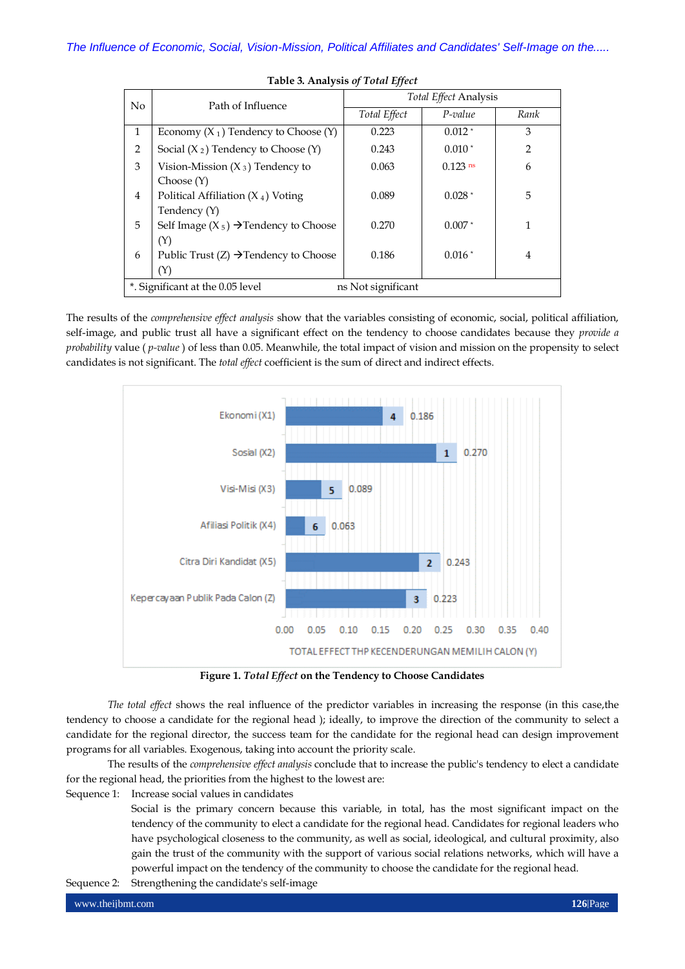|                                                        |                                                   | <b>Total Effect Analysis</b> |            |               |  |  |
|--------------------------------------------------------|---------------------------------------------------|------------------------------|------------|---------------|--|--|
| N <sub>0</sub>                                         | Path of Influence                                 | Total Effect                 | $P$ -value | Rank          |  |  |
| $\mathbf{1}$                                           | Economy $(X_1)$ Tendency to Choose $(Y)$          | 0.223                        | $0.012*$   | 3             |  |  |
| 2                                                      | Social $(X_2)$ Tendency to Choose $(Y)$           | 0.243                        | $0.010*$   | $\mathcal{P}$ |  |  |
| 3                                                      | Vision-Mission $(X_3)$ Tendency to                | 0.063                        | $0.123$ ns | 6             |  |  |
|                                                        | Choose(Y)                                         |                              |            |               |  |  |
| $\overline{4}$                                         | Political Affiliation $(X_4)$ Voting              | 0.089                        | $0.028*$   | 5             |  |  |
|                                                        | Tendency (Y)                                      |                              |            |               |  |  |
| 5                                                      | Self Image $(X_5) \rightarrow$ Tendency to Choose | 0.270                        | $0.007*$   | 1             |  |  |
|                                                        | (Y)                                               |                              |            |               |  |  |
| 6                                                      | Public Trust $(Z) \rightarrow$ Tendency to Choose | 0.186                        | $0.016*$   | 4             |  |  |
|                                                        | (Y)                                               |                              |            |               |  |  |
| *. Significant at the 0.05 level<br>ns Not significant |                                                   |                              |            |               |  |  |

**Table 3. Analysis** *of Total Effect*

The results of the *comprehensive effect analysis* show that the variables consisting of economic, social, political affiliation, self-image, and public trust all have a significant effect on the tendency to choose candidates because they *provide a probability* value ( *p-value* ) of less than 0.05. Meanwhile, the total impact of vision and mission on the propensity to select candidates is not significant. The *total effect* coefficient is the sum of direct and indirect effects.



**Figure 1.** *Total Effect* **on the Tendency to Choose Candidates**

*The total effect* shows the real influence of the predictor variables in increasing the response (in this case,the tendency to choose a candidate for the regional head ); ideally, to improve the direction of the community to select a candidate for the regional director, the success team for the candidate for the regional head can design improvement programs for all variables. Exogenous, taking into account the priority scale.

The results of the *comprehensive effect analysis* conclude that to increase the public's tendency to elect a candidate for the regional head, the priorities from the highest to the lowest are:

Sequence 1: Increase social values in candidates

Social is the primary concern because this variable, in total, has the most significant impact on the tendency of the community to elect a candidate for the regional head. Candidates for regional leaders who have psychological closeness to the community, as well as social, ideological, and cultural proximity, also gain the trust of the community with the support of various social relations networks, which will have a powerful impact on the tendency of the community to choose the candidate for the regional head.

Sequence 2: Strengthening the candidate's self-image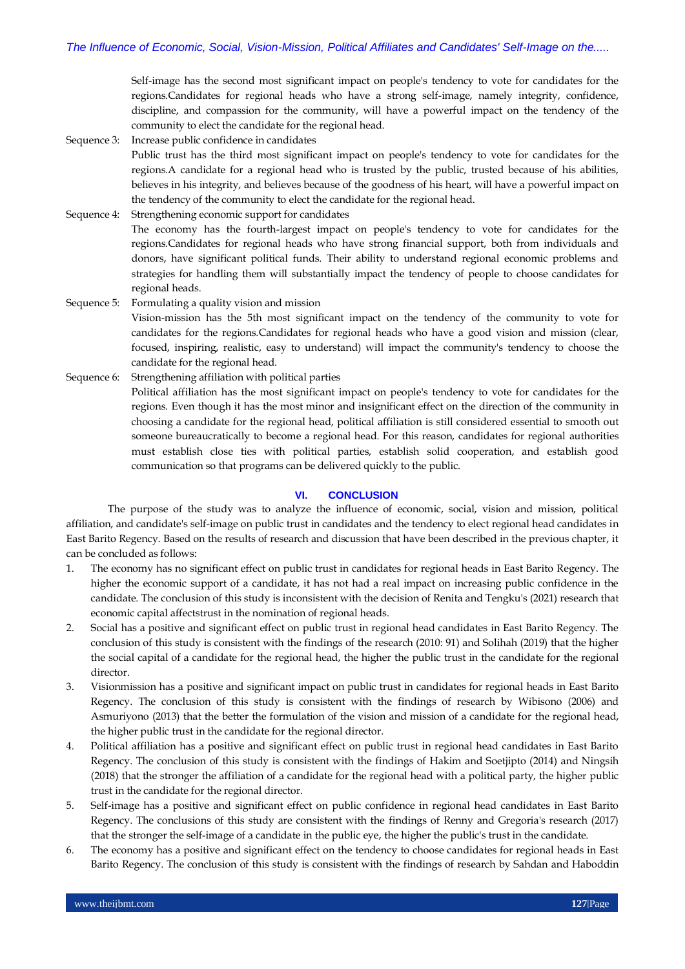Self-image has the second most significant impact on people's tendency to vote for candidates for the regions*.*Candidates for regional heads who have a strong self-image, namely integrity, confidence, discipline, and compassion for the community, will have a powerful impact on the tendency of the community to elect the candidate for the regional head.

- Sequence 3: Increase public confidence in candidates Public trust has the third most significant impact on people's tendency to vote for candidates for the regions*.*A candidate for a regional head who is trusted by the public, trusted because of his abilities, believes in his integrity, and believes because of the goodness of his heart, will have a powerful impact on the tendency of the community to elect the candidate for the regional head.
- Sequence 4: Strengthening economic support for candidates

The economy has the fourth-largest impact on people's tendency to vote for candidates for the regions*.*Candidates for regional heads who have strong financial support, both from individuals and donors, have significant political funds. Their ability to understand regional economic problems and strategies for handling them will substantially impact the tendency of people to choose candidates for regional heads.

- Sequence 5: Formulating a quality vision and mission
	- Vision-mission has the 5th most significant impact on the tendency of the community to vote for candidates for the regions*.*Candidates for regional heads who have a good vision and mission (clear, focused, inspiring, realistic, easy to understand) will impact the community's tendency to choose the candidate for the regional head.
- Sequence 6: Strengthening affiliation with political parties Political affiliation has the most significant impact on people's tendency to vote for candidates for the regions*.* Even though it has the most minor and insignificant effect on the direction of the community in choosing a candidate for the regional head, political affiliation is still considered essential to smooth out someone bureaucratically to become a regional head. For this reason, candidates for regional authorities must establish close ties with political parties, establish solid cooperation, and establish good communication so that programs can be delivered quickly to the public.

#### **VI. CONCLUSION**

The purpose of the study was to analyze the influence of economic, social, vision and mission, political affiliation, and candidate's self-image on public trust in candidates and the tendency to elect regional head candidates in East Barito Regency. Based on the results of research and discussion that have been described in the previous chapter, it can be concluded as follows:

- 1. The economy has no significant effect on public trust in candidates for regional heads in East Barito Regency. The higher the economic support of a candidate, it has not had a real impact on increasing public confidence in the candidate. The conclusion of this study is inconsistent with the decision of Renita and Tengku's (2021) research that economic capital affectstrust in the nomination of regional heads.
- 2. Social has a positive and significant effect on public trust in regional head candidates in East Barito Regency. The conclusion of this study is consistent with the findings of the research (2010: 91) and Solihah (2019) that the higher the social capital of a candidate for the regional head, the higher the public trust in the candidate for the regional director.
- 3. Visionmission has a positive and significant impact on public trust in candidates for regional heads in East Barito Regency. The conclusion of this study is consistent with the findings of research by Wibisono (2006) and Asmuriyono (2013) that the better the formulation of the vision and mission of a candidate for the regional head, the higher public trust in the candidate for the regional director.
- 4. Political affiliation has a positive and significant effect on public trust in regional head candidates in East Barito Regency. The conclusion of this study is consistent with the findings of Hakim and Soetjipto (2014) and Ningsih (2018) that the stronger the affiliation of a candidate for the regional head with a political party, the higher public trust in the candidate for the regional director.
- 5. Self-image has a positive and significant effect on public confidence in regional head candidates in East Barito Regency. The conclusions of this study are consistent with the findings of Renny and Gregoria's research (2017) that the stronger the self-image of a candidate in the public eye, the higher the public's trust in the candidate.
- 6. The economy has a positive and significant effect on the tendency to choose candidates for regional heads in East Barito Regency. The conclusion of this study is consistent with the findings of research by Sahdan and Haboddin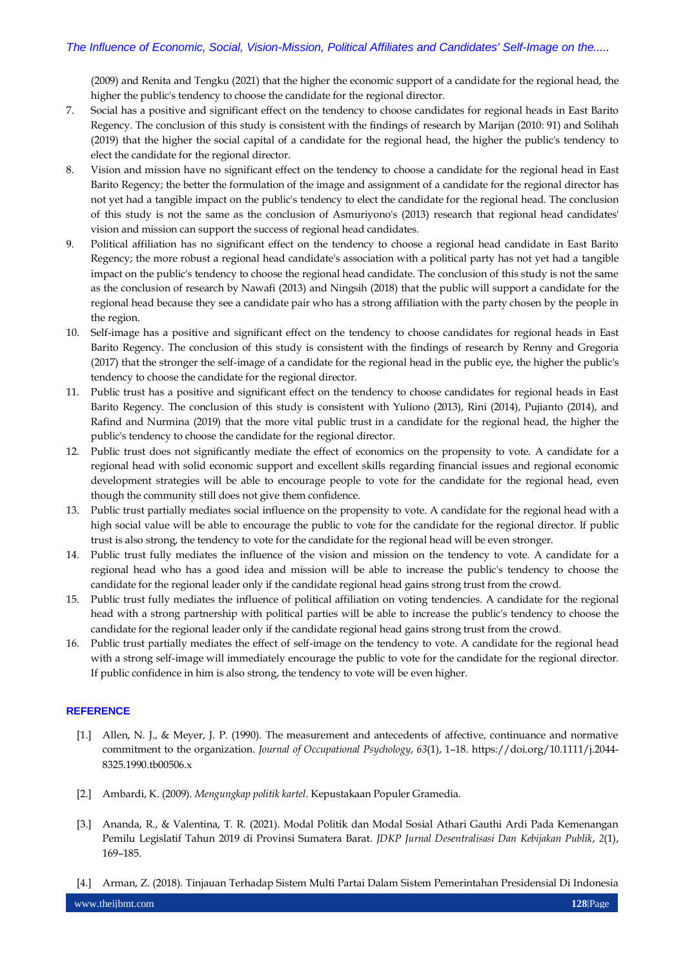(2009) and Renita and Tengku (2021) that the higher the economic support of a candidate for the regional head, the higher the public's tendency to choose the candidate for the regional director.

- 7. Social has a positive and significant effect on the tendency to choose candidates for regional heads in East Barito Regency. The conclusion of this study is consistent with the findings of research by Marijan (2010: 91) and Solihah (2019) that the higher the social capital of a candidate for the regional head, the higher the public's tendency to elect the candidate for the regional director.
- 8. Vision and mission have no significant effect on the tendency to choose a candidate for the regional head in East Barito Regency; the better the formulation of the image and assignment of a candidate for the regional director has not yet had a tangible impact on the public's tendency to elect the candidate for the regional head. The conclusion of this study is not the same as the conclusion of Asmuriyono's (2013) research that regional head candidates' vision and mission can support the success of regional head candidates.
- 9. Political affiliation has no significant effect on the tendency to choose a regional head candidate in East Barito Regency; the more robust a regional head candidate's association with a political party has not yet had a tangible impact on the public's tendency to choose the regional head candidate. The conclusion of this study is not the same as the conclusion of research by Nawafi (2013) and Ningsih (2018) that the public will support a candidate for the regional head because they see a candidate pair who has a strong affiliation with the party chosen by the people in the region.
- 10. Self-image has a positive and significant effect on the tendency to choose candidates for regional heads in East Barito Regency. The conclusion of this study is consistent with the findings of research by Renny and Gregoria (2017) that the stronger the self-image of a candidate for the regional head in the public eye, the higher the public's tendency to choose the candidate for the regional director.
- 11. Public trust has a positive and significant effect on the tendency to choose candidates for regional heads in East Barito Regency. The conclusion of this study is consistent with Yuliono (2013), Rini (2014), Pujianto (2014), and Rafind and Nurmina (2019) that the more vital public trust in a candidate for the regional head, the higher the public's tendency to choose the candidate for the regional director.
- 12. Public trust does not significantly mediate the effect of economics on the propensity to vote. A candidate for a regional head with solid economic support and excellent skills regarding financial issues and regional economic development strategies will be able to encourage people to vote for the candidate for the regional head, even though the community still does not give them confidence.
- 13. Public trust partially mediates social influence on the propensity to vote. A candidate for the regional head with a high social value will be able to encourage the public to vote for the candidate for the regional director. If public trust is also strong, the tendency to vote for the candidate for the regional head will be even stronger.
- 14. Public trust fully mediates the influence of the vision and mission on the tendency to vote. A candidate for a regional head who has a good idea and mission will be able to increase the public's tendency to choose the candidate for the regional leader only if the candidate regional head gains strong trust from the crowd.
- 15. Public trust fully mediates the influence of political affiliation on voting tendencies. A candidate for the regional head with a strong partnership with political parties will be able to increase the public's tendency to choose the candidate for the regional leader only if the candidate regional head gains strong trust from the crowd.
- 16. Public trust partially mediates the effect of self-image on the tendency to vote. A candidate for the regional head with a strong self-image will immediately encourage the public to vote for the candidate for the regional director. If public confidence in him is also strong, the tendency to vote will be even higher.

# **REFERENCE**

- [1.] Allen, N. J., & Meyer, J. P. (1990). The measurement and antecedents of affective, continuance and normative commitment to the organization. *Journal of Occupational Psychology*, *63*(1), 1–18. https://doi.org/10.1111/j.2044- 8325.1990.tb00506.x
- [2.] Ambardi, K. (2009). *Mengungkap politik kartel*. Kepustakaan Populer Gramedia.
- [3.] Ananda, R., & Valentina, T. R. (2021). Modal Politik dan Modal Sosial Athari Gauthi Ardi Pada Kemenangan Pemilu Legislatif Tahun 2019 di Provinsi Sumatera Barat. *JDKP Jurnal Desentralisasi Dan Kebijakan Publik*, *2*(1), 169–185.
- [4.] Arman, Z. (2018). Tinjauan Terhadap Sistem Multi Partai Dalam Sistem Pemerintahan Presidensial Di Indonesia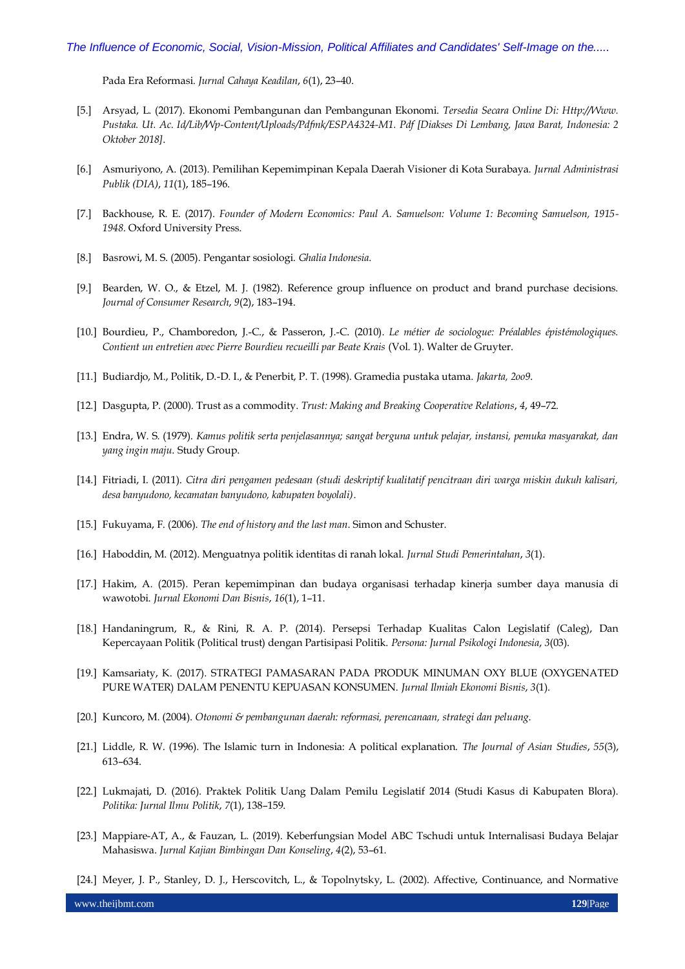Pada Era Reformasi. *Jurnal Cahaya Keadilan*, *6*(1), 23–40.

- [5.] Arsyad, L. (2017). Ekonomi Pembangunan dan Pembangunan Ekonomi. *Tersedia Secara Online Di: Http://Www. Pustaka. Ut. Ac. Id/Lib/Wp-Content/Uploads/Pdfmk/ESPA4324-M1. Pdf [Diakses Di Lembang, Jawa Barat, Indonesia: 2 Oktober 2018]*.
- [6.] Asmuriyono, A. (2013). Pemilihan Kepemimpinan Kepala Daerah Visioner di Kota Surabaya. *Jurnal Administrasi Publik (DIA)*, *11*(1), 185–196.
- [7.] Backhouse, R. E. (2017). *Founder of Modern Economics: Paul A. Samuelson: Volume 1: Becoming Samuelson, 1915- 1948*. Oxford University Press.
- [8.] Basrowi, M. S. (2005). Pengantar sosiologi. *Ghalia Indonesia*.
- [9.] Bearden, W. O., & Etzel, M. J. (1982). Reference group influence on product and brand purchase decisions. *Journal of Consumer Research*, *9*(2), 183–194.
- [10.] Bourdieu, P., Chamboredon, J.-C., & Passeron, J.-C. (2010). *Le métier de sociologue: Préalables épistémologiques. Contient un entretien avec Pierre Bourdieu recueilli par Beate Krais* (Vol. 1). Walter de Gruyter.
- [11.] Budiardjo, M., Politik, D.-D. I., & Penerbit, P. T. (1998). Gramedia pustaka utama. *Jakarta, 2oo9*.
- [12.] Dasgupta, P. (2000). Trust as a commodity. *Trust: Making and Breaking Cooperative Relations*, *4*, 49–72.
- [13.] Endra, W. S. (1979). *Kamus politik serta penjelasannya; sangat berguna untuk pelajar, instansi, pemuka masyarakat, dan yang ingin maju*. Study Group.
- [14.] Fitriadi, I. (2011). *Citra diri pengamen pedesaan (studi deskriptif kualitatif pencitraan diri warga miskin dukuh kalisari, desa banyudono, kecamatan banyudono, kabupaten boyolali)*.
- [15.] Fukuyama, F. (2006). *The end of history and the last man*. Simon and Schuster.
- [16.] Haboddin, M. (2012). Menguatnya politik identitas di ranah lokal. *Jurnal Studi Pemerintahan*, *3*(1).
- [17.] Hakim, A. (2015). Peran kepemimpinan dan budaya organisasi terhadap kinerja sumber daya manusia di wawotobi. *Jurnal Ekonomi Dan Bisnis*, *16*(1), 1–11.
- [18.] Handaningrum, R., & Rini, R. A. P. (2014). Persepsi Terhadap Kualitas Calon Legislatif (Caleg), Dan Kepercayaan Politik (Political trust) dengan Partisipasi Politik. *Persona: Jurnal Psikologi Indonesia*, *3*(03).
- [19.] Kamsariaty, K. (2017). STRATEGI PAMASARAN PADA PRODUK MINUMAN OXY BLUE (OXYGENATED PURE WATER) DALAM PENENTU KEPUASAN KONSUMEN. *Jurnal Ilmiah Ekonomi Bisnis*, *3*(1).
- [20.] Kuncoro, M. (2004). *Otonomi & pembangunan daerah: reformasi, perencanaan, strategi dan peluang*.
- [21.] Liddle, R. W. (1996). The Islamic turn in Indonesia: A political explanation. *The Journal of Asian Studies*, *55*(3), 613–634.
- [22.] Lukmajati, D. (2016). Praktek Politik Uang Dalam Pemilu Legislatif 2014 (Studi Kasus di Kabupaten Blora). *Politika: Jurnal Ilmu Politik*, *7*(1), 138–159.
- [23.] Mappiare-AT, A., & Fauzan, L. (2019). Keberfungsian Model ABC Tschudi untuk Internalisasi Budaya Belajar Mahasiswa. *Jurnal Kajian Bimbingan Dan Konseling*, *4*(2), 53–61.
- [24.] Meyer, J. P., Stanley, D. J., Herscovitch, L., & Topolnytsky, L. (2002). Affective, Continuance, and Normative

www.theijbmt.com **129**|Page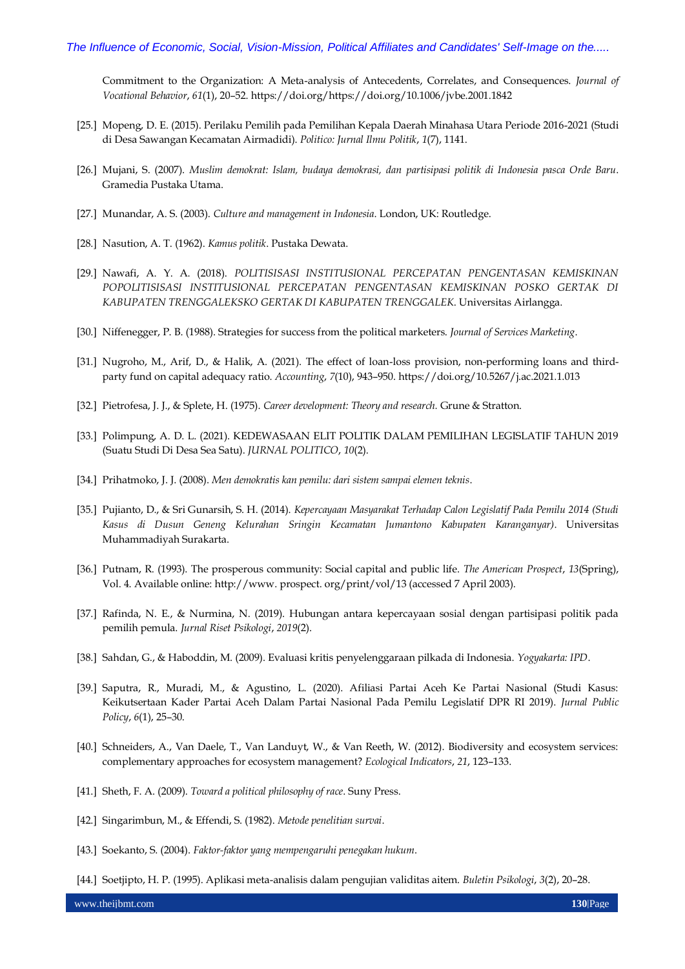Commitment to the Organization: A Meta-analysis of Antecedents, Correlates, and Consequences. *Journal of Vocational Behavior*, *61*(1), 20–52. https://doi.org/https://doi.org/10.1006/jvbe.2001.1842

- [25.] Mopeng, D. E. (2015). Perilaku Pemilih pada Pemilihan Kepala Daerah Minahasa Utara Periode 2016-2021 (Studi di Desa Sawangan Kecamatan Airmadidi). *Politico: Jurnal Ilmu Politik*, *1*(7), 1141.
- [26.] Mujani, S. (2007). *Muslim demokrat: Islam, budaya demokrasi, dan partisipasi politik di Indonesia pasca Orde Baru*. Gramedia Pustaka Utama.
- [27.] Munandar, A. S. (2003). *Culture and management in Indonesia*. London, UK: Routledge.
- [28.] Nasution, A. T. (1962). *Kamus politik*. Pustaka Dewata.
- [29.] Nawafi, A. Y. A. (2018). *POLITISISASI INSTITUSIONAL PERCEPATAN PENGENTASAN KEMISKINAN POPOLITISISASI INSTITUSIONAL PERCEPATAN PENGENTASAN KEMISKINAN POSKO GERTAK DI KABUPATEN TRENGGALEKSKO GERTAK DI KABUPATEN TRENGGALEK*. Universitas Airlangga.
- [30.] Niffenegger, P. B. (1988). Strategies for success from the political marketers. *Journal of Services Marketing*.
- [31.] Nugroho, M., Arif, D., & Halik, A. (2021). The effect of loan-loss provision, non-performing loans and thirdparty fund on capital adequacy ratio. *Accounting*, *7*(10), 943–950. https://doi.org/10.5267/j.ac.2021.1.013
- [32.] Pietrofesa, J. J., & Splete, H. (1975). *Career development: Theory and research.* Grune & Stratton.
- [33.] Polimpung, A. D. L. (2021). KEDEWASAAN ELIT POLITIK DALAM PEMILIHAN LEGISLATIF TAHUN 2019 (Suatu Studi Di Desa Sea Satu). *JURNAL POLITICO*, *10*(2).
- [34.] Prihatmoko, J. J. (2008). *Men demokratis kan pemilu: dari sistem sampai elemen teknis*.
- [35.] Pujianto, D., & Sri Gunarsih, S. H. (2014). *Kepercayaan Masyarakat Terhadap Calon Legislatif Pada Pemilu 2014 (Studi Kasus di Dusun Geneng Kelurahan Sringin Kecamatan Jumantono Kabupaten Karanganyar)*. Universitas Muhammadiyah Surakarta.
- [36.] Putnam, R. (1993). The prosperous community: Social capital and public life. *The American Prospect*, *13*(Spring), Vol. 4. Available online: http://www. prospect. org/print/vol/13 (accessed 7 April 2003).
- [37.] Rafinda, N. E., & Nurmina, N. (2019). Hubungan antara kepercayaan sosial dengan partisipasi politik pada pemilih pemula. *Jurnal Riset Psikologi*, *2019*(2).
- [38.] Sahdan, G., & Haboddin, M. (2009). Evaluasi kritis penyelenggaraan pilkada di Indonesia. *Yogyakarta: IPD*.
- [39.] Saputra, R., Muradi, M., & Agustino, L. (2020). Afiliasi Partai Aceh Ke Partai Nasional (Studi Kasus: Keikutsertaan Kader Partai Aceh Dalam Partai Nasional Pada Pemilu Legislatif DPR RI 2019). *Jurnal Public Policy*, *6*(1), 25–30.
- [40.] Schneiders, A., Van Daele, T., Van Landuyt, W., & Van Reeth, W. (2012). Biodiversity and ecosystem services: complementary approaches for ecosystem management? *Ecological Indicators*, *21*, 123–133.
- [41.] Sheth, F. A. (2009). *Toward a political philosophy of race*. Suny Press.
- [42.] Singarimbun, M., & Effendi, S. (1982). *Metode penelitian survai*.
- [43.] Soekanto, S. (2004). *Faktor-faktor yang mempengaruhi penegakan hukum*.
- [44.] Soetjipto, H. P. (1995). Aplikasi meta-analisis dalam pengujian validitas aitem. *Buletin Psikologi*, *3*(2), 20–28.

www.theijbmt.com **130**|Page **130**|Page **130**